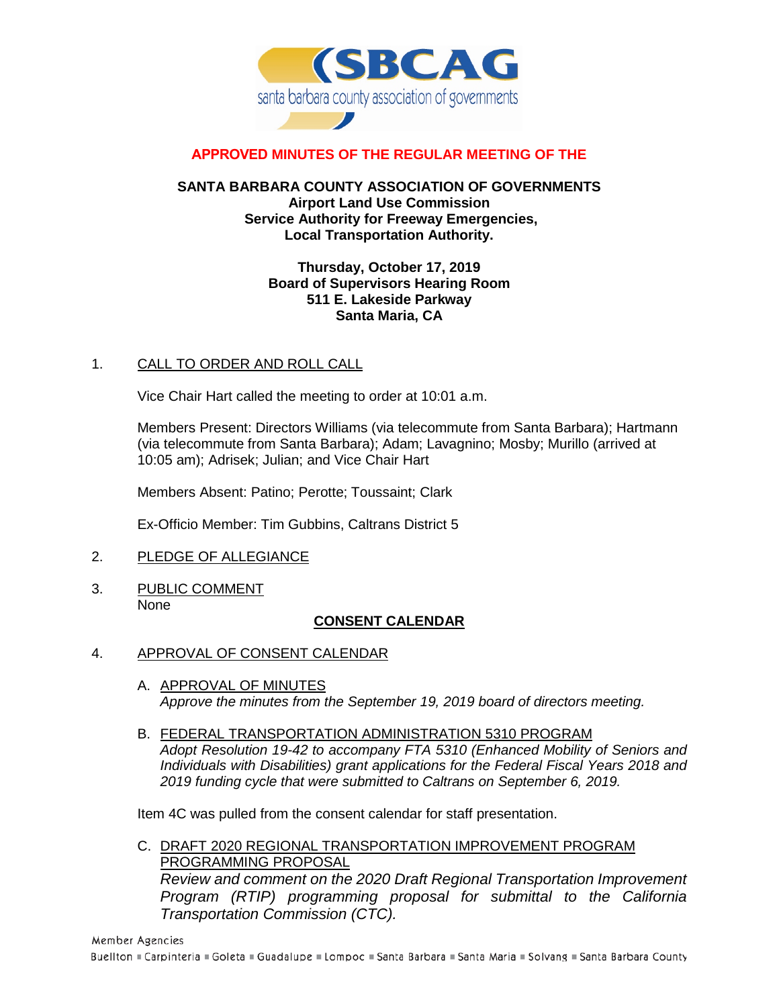

# **APPROVED MINUTES OF THE REGULAR MEETING OF THE**

### **SANTA BARBARA COUNTY ASSOCIATION OF GOVERNMENTS Airport Land Use Commission Service Authority for Freeway Emergencies, Local Transportation Authority.**

### **Thursday, October 17, 2019 Board of Supervisors Hearing Room 511 E. Lakeside Parkway Santa Maria, CA**

## 1. CALL TO ORDER AND ROLL CALL

Vice Chair Hart called the meeting to order at 10:01 a.m.

Members Present: Directors Williams (via telecommute from Santa Barbara); Hartmann (via telecommute from Santa Barbara); Adam; Lavagnino; Mosby; Murillo (arrived at 10:05 am); Adrisek; Julian; and Vice Chair Hart

Members Absent: Patino; Perotte; Toussaint; Clark

Ex-Officio Member: Tim Gubbins, Caltrans District 5

- 2. PLEDGE OF ALLEGIANCE
- 3. PUBLIC COMMENT None

#### **CONSENT CALENDAR**

- 4. APPROVAL OF CONSENT CALENDAR
	- A. APPROVAL OF MINUTES *Approve the minutes from the September 19, 2019 board of directors meeting.*
	- B. FEDERAL TRANSPORTATION ADMINISTRATION 5310 PROGRAM *Adopt Resolution 19-42 to accompany FTA 5310 (Enhanced Mobility of Seniors and Individuals with Disabilities) grant applications for the Federal Fiscal Years 2018 and 2019 funding cycle that were submitted to Caltrans on September 6, 2019.*

Item 4C was pulled from the consent calendar for staff presentation.

C. DRAFT 2020 REGIONAL TRANSPORTATION IMPROVEMENT PROGRAM PROGRAMMING PROPOSAL *Review and comment on the 2020 Draft Regional Transportation Improvement Program (RTIP) programming proposal for submittal to the California Transportation Commission (CTC).*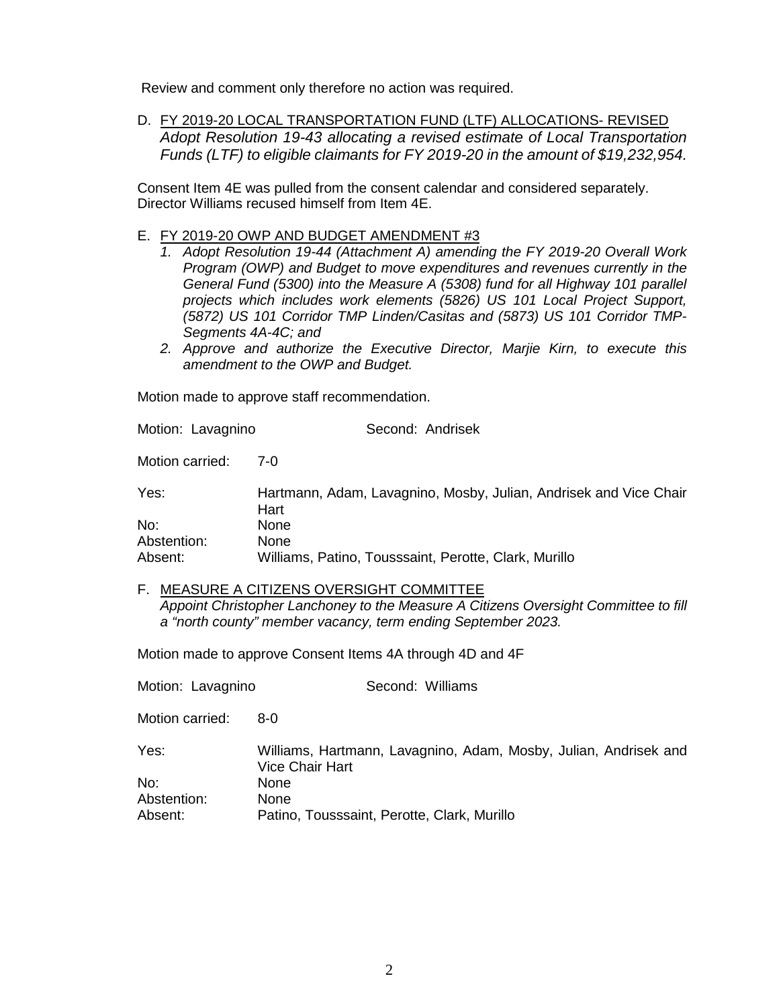Review and comment only therefore no action was required.

D. FY 2019-20 LOCAL TRANSPORTATION FUND (LTF) ALLOCATIONS- REVISED *Adopt Resolution 19-43 allocating a revised estimate of Local Transportation Funds (LTF) to eligible claimants for FY 2019-20 in the amount of \$19,232,954.*

Consent Item 4E was pulled from the consent calendar and considered separately. Director Williams recused himself from Item 4E.

#### E. FY 2019-20 OWP AND BUDGET AMENDMENT #3

- *1. Adopt Resolution 19-44 (Attachment A) amending the FY 2019-20 Overall Work Program (OWP) and Budget to move expenditures and revenues currently in the General Fund (5300) into the Measure A (5308) fund for all Highway 101 parallel projects which includes work elements (5826) US 101 Local Project Support, (5872) US 101 Corridor TMP Linden/Casitas and (5873) US 101 Corridor TMP-Segments 4A-4C; and*
- *2. Approve and authorize the Executive Director, Marjie Kirn, to execute this amendment to the OWP and Budget.*

Motion made to approve staff recommendation.

Motion: Lavagnino Second: Andrisek Motion carried: 7-0 Yes: Hartmann, Adam, Lavagnino, Mosby, Julian, Andrisek and Vice Chair **Hart** No: None Abstention: None Absent: Williams, Patino, Tousssaint, Perotte, Clark, Murillo

F. MEASURE A CITIZENS OVERSIGHT COMMITTEE

*Appoint Christopher Lanchoney to the Measure A Citizens Oversight Committee to fill a "north county" member vacancy, term ending September 2023.* 

Motion made to approve Consent Items 4A through 4D and 4F

| Motion: Lavagnino | Second: Williams                                                                           |
|-------------------|--------------------------------------------------------------------------------------------|
| Motion carried:   | 8-0                                                                                        |
| Yes:              | Williams, Hartmann, Lavagnino, Adam, Mosby, Julian, Andrisek and<br><b>Vice Chair Hart</b> |
| No:               | None.                                                                                      |
| Abstention:       | None                                                                                       |
| Absent:           | Patino, Tousssaint, Perotte, Clark, Murillo                                                |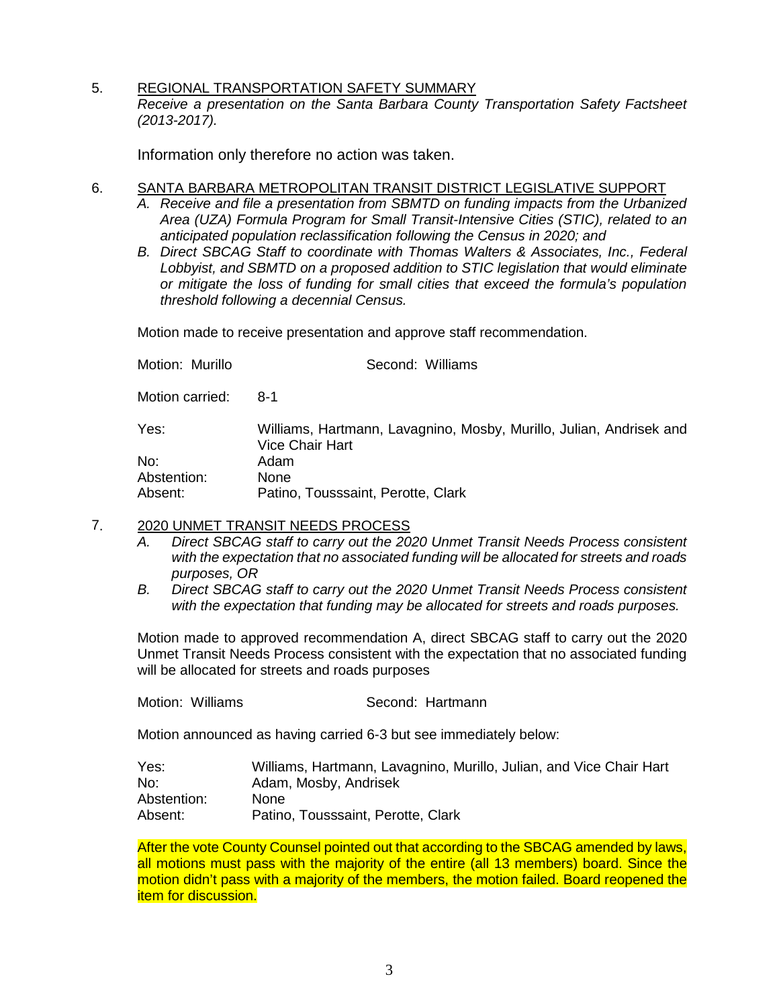5. REGIONAL TRANSPORTATION SAFETY SUMMARY *Receive a presentation on the Santa Barbara County Transportation Safety Factsheet (2013-2017).*

Information only therefore no action was taken.

- 6. SANTA BARBARA METROPOLITAN TRANSIT DISTRICT LEGISLATIVE SUPPORT
	- *A. Receive and file a presentation from SBMTD on funding impacts from the Urbanized Area (UZA) Formula Program for Small Transit-Intensive Cities (STIC), related to an anticipated population reclassification following the Census in 2020; and*
	- *B. Direct SBCAG Staff to coordinate with Thomas Walters & Associates, Inc., Federal Lobbyist, and SBMTD on a proposed addition to STIC legislation that would eliminate or mitigate the loss of funding for small cities that exceed the formula's population threshold following a decennial Census.*

Motion made to receive presentation and approve staff recommendation.

| Motion: Murillo | Second: Williams                                                                       |
|-----------------|----------------------------------------------------------------------------------------|
| Motion carried: | $8-1$                                                                                  |
| Yes:            | Williams, Hartmann, Lavagnino, Mosby, Murillo, Julian, Andrisek and<br>Vice Chair Hart |
| No:             | Adam                                                                                   |
| Abstention:     | None                                                                                   |
| Absent:         | Patino, Tousssaint, Perotte, Clark                                                     |

- 7. 2020 UNMET TRANSIT NEEDS PROCESS
	- *A. Direct SBCAG staff to carry out the 2020 Unmet Transit Needs Process consistent with the expectation that no associated funding will be allocated for streets and roads purposes, OR*
	- *B. Direct SBCAG staff to carry out the 2020 Unmet Transit Needs Process consistent with the expectation that funding may be allocated for streets and roads purposes.*

Motion made to approved recommendation A, direct SBCAG staff to carry out the 2020 Unmet Transit Needs Process consistent with the expectation that no associated funding will be allocated for streets and roads purposes

Motion: Williams **Second: Hartmann** 

Motion announced as having carried 6-3 but see immediately below:

| Yes:        | Williams, Hartmann, Lavagnino, Murillo, Julian, and Vice Chair Hart |
|-------------|---------------------------------------------------------------------|
| No:         | Adam, Mosby, Andrisek                                               |
| Abstention: | <b>None</b>                                                         |
| Absent:     | Patino, Tousssaint, Perotte, Clark                                  |

After the vote County Counsel pointed out that according to the SBCAG amended by laws, all motions must pass with the majority of the entire (all 13 members) board. Since the motion didn't pass with a majority of the members, the motion failed. Board reopened the item for discussion.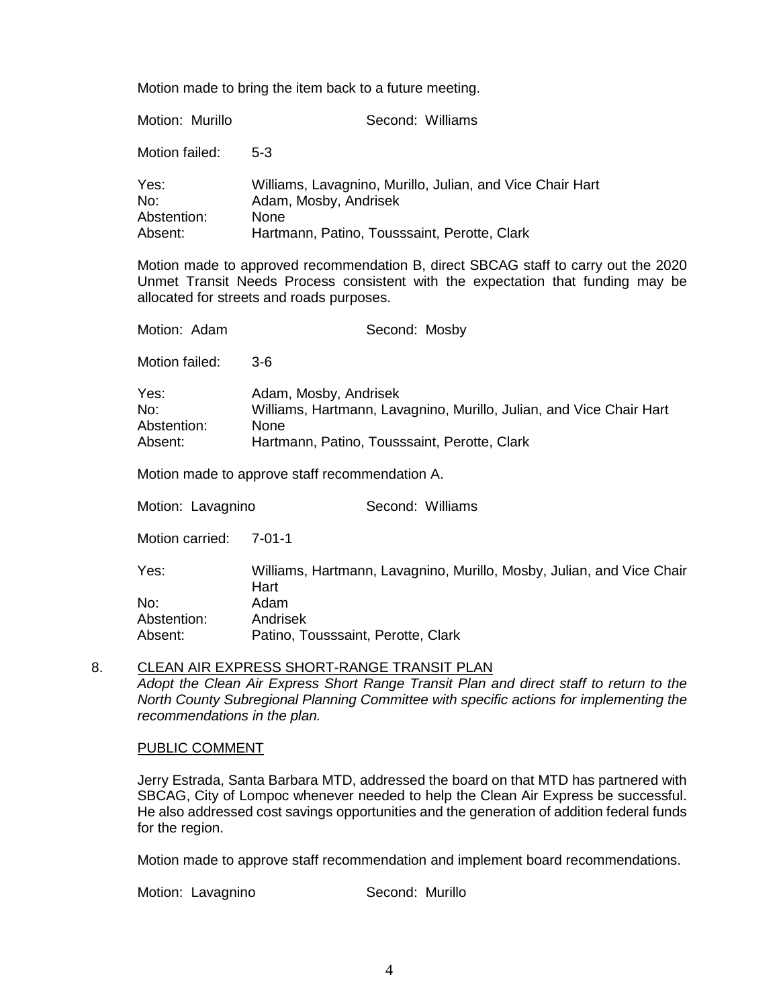Motion made to bring the item back to a future meeting.

| Motion: Murillo            | Second: Williams                                                                            |
|----------------------------|---------------------------------------------------------------------------------------------|
| Motion failed:             | $5-3$                                                                                       |
| Yes:<br>No:<br>Abstention: | Williams, Lavagnino, Murillo, Julian, and Vice Chair Hart<br>Adam, Mosby, Andrisek<br>None. |

Abstention: None<br>Absent: Hartn Hartmann, Patino, Tousssaint, Perotte, Clark

Motion made to approved recommendation B, direct SBCAG staff to carry out the 2020 Unmet Transit Needs Process consistent with the expectation that funding may be allocated for streets and roads purposes.

| Motion: Adam                          | Second: Mosby                                                                                                                                        |
|---------------------------------------|------------------------------------------------------------------------------------------------------------------------------------------------------|
| Motion failed:                        | 3-6                                                                                                                                                  |
| Yes:<br>No:<br>Abstention:<br>Absent: | Adam, Mosby, Andrisek<br>Williams, Hartmann, Lavagnino, Murillo, Julian, and Vice Chair Hart<br>None<br>Hartmann, Patino, Tousssaint, Perotte, Clark |
|                                       |                                                                                                                                                      |

Motion made to approve staff recommendation A.

Motion: Lavagnino Second: Williams

Motion carried: 7-01-1

| Yes:        | Williams, Hartmann, Lavagnino, Murillo, Mosby, Julian, and Vice Chair |
|-------------|-----------------------------------------------------------------------|
|             | Hart                                                                  |
| No:         | Adam                                                                  |
| Abstention: | Andrisek                                                              |
| Absent:     | Patino, Tousssaint, Perotte, Clark                                    |

## 8. CLEAN AIR EXPRESS SHORT-RANGE TRANSIT PLAN

*Adopt the Clean Air Express Short Range Transit Plan and direct staff to return to the North County Subregional Planning Committee with specific actions for implementing the recommendations in the plan.*

#### PUBLIC COMMENT

Jerry Estrada, Santa Barbara MTD, addressed the board on that MTD has partnered with SBCAG, City of Lompoc whenever needed to help the Clean Air Express be successful. He also addressed cost savings opportunities and the generation of addition federal funds for the region.

Motion made to approve staff recommendation and implement board recommendations.

Motion: Lavagnino Second: Murillo